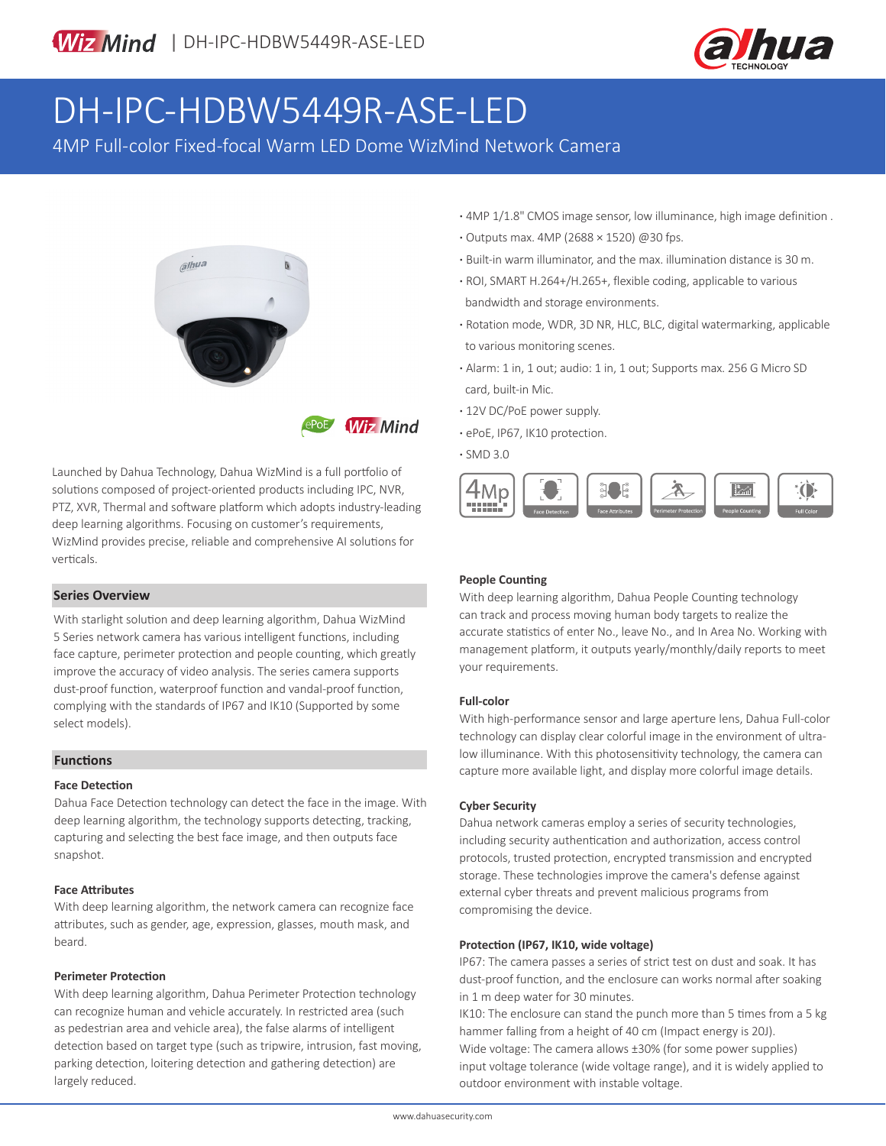

# DH-IPC-HDBW5449R-ASE-LED

4MP Full-color Fixed-focal Warm LED Dome WizMind Network Camera





Launched by Dahua Technology, Dahua WizMind is a full portfolio of solutions composed of project-oriented products including IPC, NVR, PTZ, XVR, Thermal and software platform which adopts industry-leading deep learning algorithms. Focusing on customer's requirements, WizMind provides precise, reliable and comprehensive AI solutions for verticals.

#### **Series Overview**

With starlight solution and deep learning algorithm, Dahua WizMind 5 Series network camera has various intelligent functions, including face capture, perimeter protection and people counting, which greatly improve the accuracy of video analysis. The series camera supports dust-proof function, waterproof function and vandal-proof function, complying with the standards of IP67 and IK10 (Supported by some select models).

#### **Functions**

#### **Face Detection**

Dahua Face Detection technology can detect the face in the image. With deep learning algorithm, the technology supports detecting, tracking, capturing and selecting the best face image, and then outputs face snapshot.

#### **Face Attributes**

With deep learning algorithm, the network camera can recognize face attributes, such as gender, age, expression, glasses, mouth mask, and beard.

#### **Perimeter Protection**

With deep learning algorithm, Dahua Perimeter Protection technology can recognize human and vehicle accurately. In restricted area (such as pedestrian area and vehicle area), the false alarms of intelligent detection based on target type (such as tripwire, intrusion, fast moving, parking detection, loitering detection and gathering detection) are largely reduced.

- **·** 4MP 1/1.8" CMOS image sensor, low illuminance, high image definition .
- **·** Outputs max. 4MP (2688 × 1520) @30 fps.
- **·** Built-in warm illuminator, and the max. illumination distance is 30 m.
- **·** ROI, SMART H.264+/H.265+, flexible coding, applicable to various bandwidth and storage environments.
- **·** Rotation mode, WDR, 3D NR, HLC, BLC, digital watermarking, applicable to various monitoring scenes.
- **·** Alarm: 1 in, 1 out; audio: 1 in, 1 out; Supports max. 256 G Micro SD card, built-in Mic.
- **·** 12V DC/PoE power supply.
- **·** ePoE, IP67, IK10 protection.

**·** SMD 3.0



#### **People Counting**

With deep learning algorithm, Dahua People Counting technology can track and process moving human body targets to realize the accurate statistics of enter No., leave No., and In Area No. Working with management platform, it outputs yearly/monthly/daily reports to meet your requirements.

#### **Full-color**

With high-performance sensor and large aperture lens, Dahua Full-color technology can display clear colorful image in the environment of ultralow illuminance. With this photosensitivity technology, the camera can capture more available light, and display more colorful image details.

#### **Cyber Security**

Dahua network cameras employ a series of security technologies, including security authentication and authorization, access control protocols, trusted protection, encrypted transmission and encrypted storage. These technologies improve the camera's defense against external cyber threats and prevent malicious programs from compromising the device.

#### **Protection (IP67, IK10, wide voltage)**

IP67: The camera passes a series of strict test on dust and soak. It has dust-proof function, and the enclosure can works normal after soaking in 1 m deep water for 30 minutes.

IK10: The enclosure can stand the punch more than 5 times from a 5 kg hammer falling from a height of 40 cm (Impact energy is 20J). Wide voltage: The camera allows ±30% (for some power supplies) input voltage tolerance (wide voltage range), and it is widely applied to outdoor environment with instable voltage.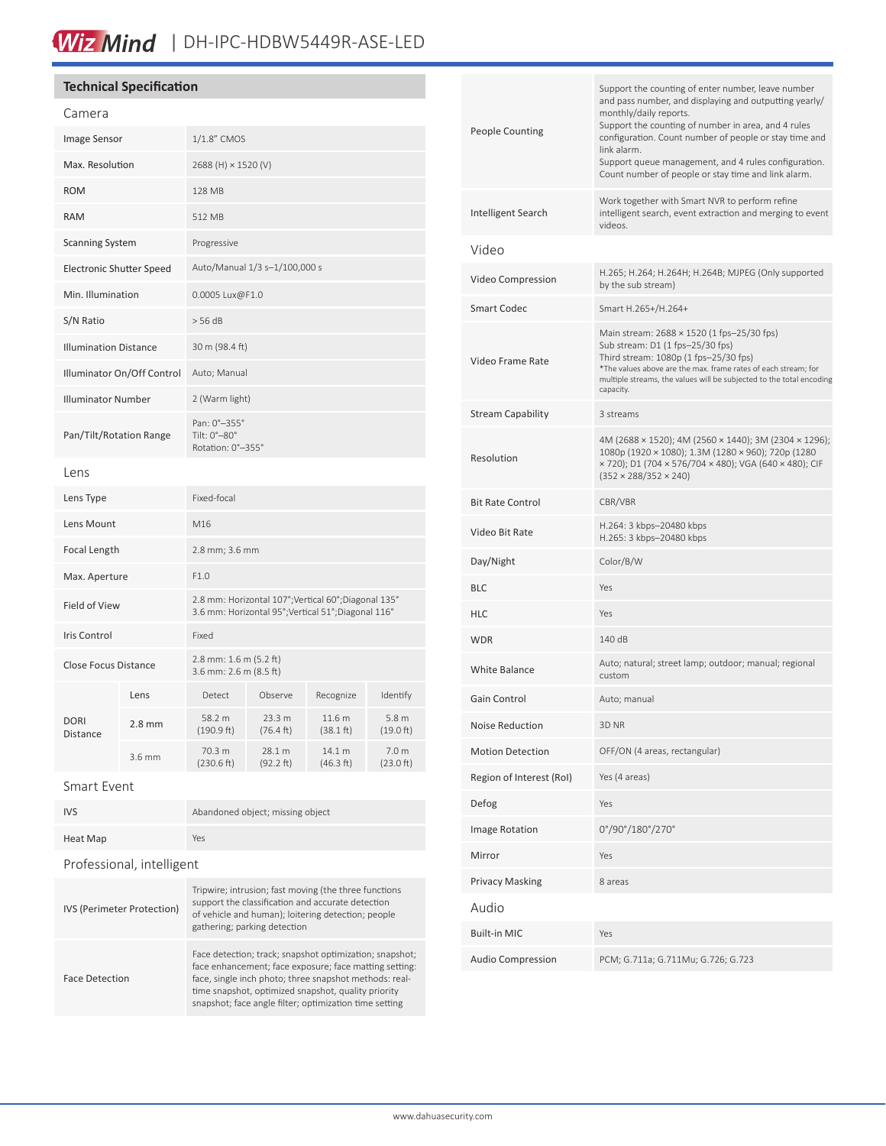## Wiz Mind | DH-IPC-HDBW5449R-ASE-LED

#### **Technical Specification**

| Camera                          |          |                                                                                                             |                     |                               |                                         |
|---------------------------------|----------|-------------------------------------------------------------------------------------------------------------|---------------------|-------------------------------|-----------------------------------------|
| Image Sensor                    |          | 1/1.8" CMOS                                                                                                 |                     |                               |                                         |
| Max. Resolution                 |          | 2688 (H) × 1520 (V)                                                                                         |                     |                               |                                         |
| <b>ROM</b>                      |          | 128 MB                                                                                                      |                     |                               |                                         |
| <b>RAM</b>                      |          | 512 MB                                                                                                      |                     |                               |                                         |
| <b>Scanning System</b>          |          | Progressive                                                                                                 |                     |                               |                                         |
| <b>Electronic Shutter Speed</b> |          | Auto/Manual 1/3 s-1/100,000 s                                                                               |                     |                               |                                         |
| Min. Illumination               |          | 0.0005 Lux@F1.0                                                                                             |                     |                               |                                         |
| S/N Ratio                       |          | > 56 dB                                                                                                     |                     |                               |                                         |
| <b>Illumination Distance</b>    |          | 30 m (98.4 ft)                                                                                              |                     |                               |                                         |
| Illuminator On/Off Control      |          | Auto; Manual                                                                                                |                     |                               |                                         |
| <b>Illuminator Number</b>       |          | 2 (Warm light)                                                                                              |                     |                               |                                         |
| Pan/Tilt/Rotation Range         |          | Pan: 0°-355°<br>Tilt: 0°-80°<br>Rotation: 0°-355°                                                           |                     |                               |                                         |
| Lens                            |          |                                                                                                             |                     |                               |                                         |
| Lens Type                       |          | Fixed-focal                                                                                                 |                     |                               |                                         |
| Lens Mount                      |          | M16                                                                                                         |                     |                               |                                         |
| Focal Length                    |          | 2.8 mm; 3.6 mm                                                                                              |                     |                               |                                         |
| Max. Aperture                   |          | F1.0                                                                                                        |                     |                               |                                         |
| Field of View                   |          | 2.8 mm: Horizontal 107°; Vertical 60°; Diagonal 135°<br>3.6 mm: Horizontal 95°; Vertical 51°; Diagonal 116° |                     |                               |                                         |
| <b>Iris Control</b>             |          | Fixed                                                                                                       |                     |                               |                                         |
| <b>Close Focus Distance</b>     |          | 2.8 mm: 1.6 m (5.2 ft)<br>3.6 mm: 2.6 m (8.5 ft)                                                            |                     |                               |                                         |
| <b>DORI</b><br>Distance         | Lens     | Detect                                                                                                      | Observe             | Recognize                     | Identify                                |
|                                 | $2.8$ mm | 58.2 m<br>(190.9 ft)                                                                                        | 23.3 m<br>(76.4 ft) | 11.6 m<br>$(38.1 \text{ ft})$ | 5.8 <sub>m</sub><br>$(19.0 \text{ ft})$ |
|                                 | 3.6 mm   | 70.3 m<br>(230.6 ft)                                                                                        | 28.1 m<br>(92.2 ft) | 14.1 m<br>(46.3 ft)           | 7.0 <sub>m</sub><br>(23.0 ft)           |
| <b>Smart Event</b>              |          |                                                                                                             |                     |                               |                                         |
| <b>IVS</b>                      |          | Abandoned object; missing object                                                                            |                     |                               |                                         |

| Heat Map                  | Yes |
|---------------------------|-----|
| Professional, intelligent |     |

| IVS (Perimeter Protection) | Tripwire; intrusion; fast moving (the three functions<br>support the classification and accurate detection<br>of vehicle and human); loitering detection; people<br>gathering; parking detection                                                                                             |
|----------------------------|----------------------------------------------------------------------------------------------------------------------------------------------------------------------------------------------------------------------------------------------------------------------------------------------|
| <b>Face Detection</b>      | Face detection; track; snapshot optimization; snapshot;<br>face enhancement; face exposure; face matting setting:<br>face, single inch photo; three snapshot methods: real-<br>time snapshot, optimized snapshot, quality priority<br>snapshot; face angle filter; optimization time setting |

| <b>People Counting</b>   | Support the counting of enter number, leave number<br>and pass number, and displaying and outputting yearly/<br>monthly/daily reports.<br>Support the counting of number in area, and 4 rules<br>configuration. Count number of people or stay time and<br>link alarm.<br>Support queue management, and 4 rules configuration.<br>Count number of people or stay time and link alarm. |
|--------------------------|---------------------------------------------------------------------------------------------------------------------------------------------------------------------------------------------------------------------------------------------------------------------------------------------------------------------------------------------------------------------------------------|
| Intelligent Search       | Work together with Smart NVR to perform refine<br>intelligent search, event extraction and merging to event<br>videos.                                                                                                                                                                                                                                                                |
| Video                    |                                                                                                                                                                                                                                                                                                                                                                                       |
| Video Compression        | H.265; H.264; H.264H; H.264B; MJPEG (Only supported<br>by the sub stream)                                                                                                                                                                                                                                                                                                             |
| Smart Codec              | Smart H.265+/H.264+                                                                                                                                                                                                                                                                                                                                                                   |
| Video Frame Rate         | Main stream: 2688 × 1520 (1 fps-25/30 fps)<br>Sub stream: D1 (1 fps-25/30 fps)<br>Third stream: 1080p (1 fps-25/30 fps)<br>*The values above are the max. frame rates of each stream; for<br>multiple streams, the values will be subjected to the total encoding<br>capacity.                                                                                                        |
| <b>Stream Capability</b> | 3 streams                                                                                                                                                                                                                                                                                                                                                                             |
| Resolution               | 4M (2688 × 1520); 4M (2560 × 1440); 3M (2304 × 1296);<br>1080p (1920 × 1080); 1.3M (1280 × 960); 720p (1280<br>× 720); D1 (704 × 576/704 × 480); VGA (640 × 480); CIF<br>$(352 \times 288/352 \times 240)$                                                                                                                                                                            |
| <b>Bit Rate Control</b>  | CBR/VBR                                                                                                                                                                                                                                                                                                                                                                               |
| Video Bit Rate           | H.264: 3 kbps-20480 kbps<br>H.265: 3 kbps-20480 kbps                                                                                                                                                                                                                                                                                                                                  |
| Day/Night                | Color/B/W                                                                                                                                                                                                                                                                                                                                                                             |
| BLC                      | Yes                                                                                                                                                                                                                                                                                                                                                                                   |
| HLC                      | Yes                                                                                                                                                                                                                                                                                                                                                                                   |
| WDR                      | 140 dB                                                                                                                                                                                                                                                                                                                                                                                |
| <b>White Balance</b>     | Auto; natural; street lamp; outdoor; manual; regional<br>custom                                                                                                                                                                                                                                                                                                                       |
| Gain Control             | Auto; manual                                                                                                                                                                                                                                                                                                                                                                          |
| Noise Reduction          | 3D NR                                                                                                                                                                                                                                                                                                                                                                                 |
| <b>Motion Detection</b>  | OFF/ON (4 areas, rectangular)                                                                                                                                                                                                                                                                                                                                                         |
| Region of Interest (RoI) | Yes (4 areas)                                                                                                                                                                                                                                                                                                                                                                         |
| Defog                    | Yes                                                                                                                                                                                                                                                                                                                                                                                   |
| <b>Image Rotation</b>    | 0°/90°/180°/270°                                                                                                                                                                                                                                                                                                                                                                      |
| Mirror                   | Yes                                                                                                                                                                                                                                                                                                                                                                                   |
| <b>Privacy Masking</b>   | 8 areas                                                                                                                                                                                                                                                                                                                                                                               |
| Audio                    |                                                                                                                                                                                                                                                                                                                                                                                       |
| <b>Built-in MIC</b>      | Yes                                                                                                                                                                                                                                                                                                                                                                                   |
| <b>Audio Compression</b> | PCM; G.711a; G.711Mu; G.726; G.723                                                                                                                                                                                                                                                                                                                                                    |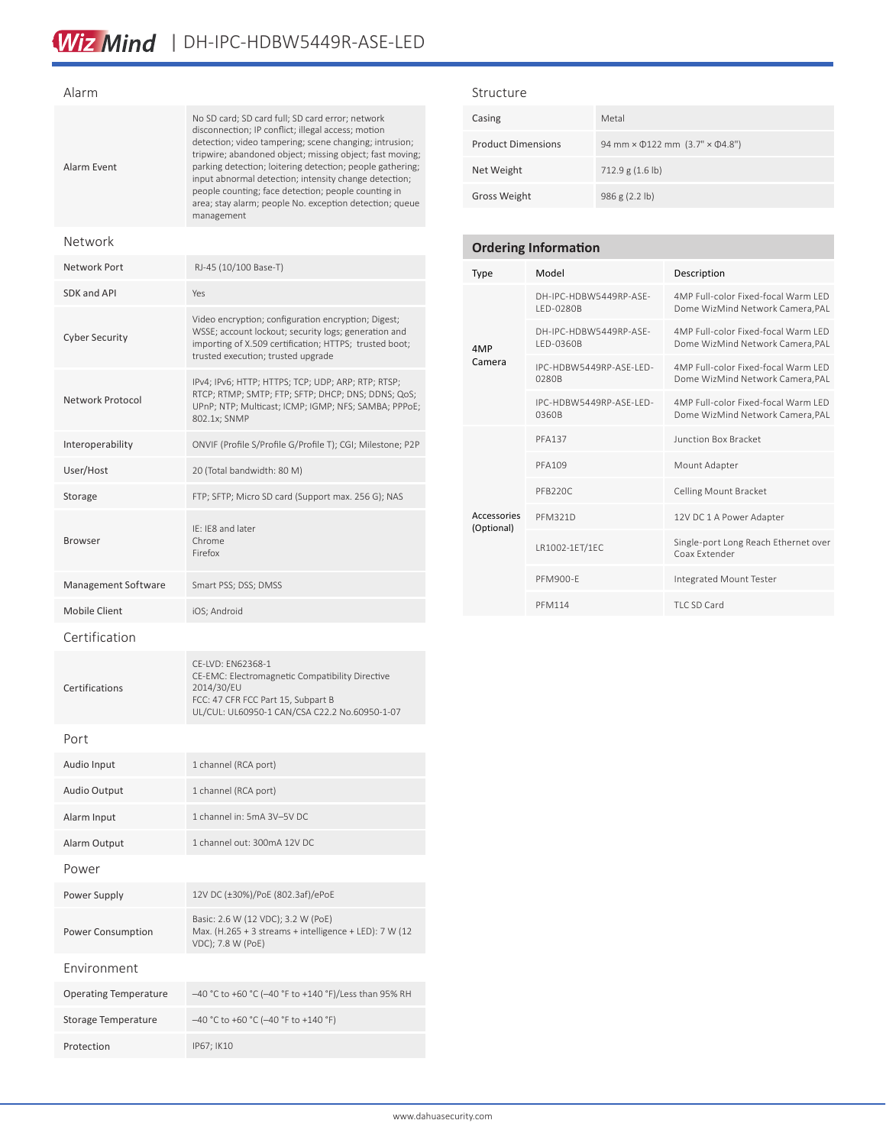| Alarm               |                                                                                                                                                                                                                                                                                                                                                                                                                                                                                    |  |
|---------------------|------------------------------------------------------------------------------------------------------------------------------------------------------------------------------------------------------------------------------------------------------------------------------------------------------------------------------------------------------------------------------------------------------------------------------------------------------------------------------------|--|
| Alarm Event         | No SD card; SD card full; SD card error; network<br>disconnection; IP conflict; illegal access; motion<br>detection; video tampering; scene changing; intrusion;<br>tripwire; abandoned object; missing object; fast moving;<br>parking detection; loitering detection; people gathering;<br>input abnormal detection; intensity change detection;<br>people counting; face detection; people counting in<br>area; stay alarm; people No. exception detection; queue<br>management |  |
| Network             |                                                                                                                                                                                                                                                                                                                                                                                                                                                                                    |  |
| Network Port        | RJ-45 (10/100 Base-T)                                                                                                                                                                                                                                                                                                                                                                                                                                                              |  |
| SDK and API         | Yes                                                                                                                                                                                                                                                                                                                                                                                                                                                                                |  |
| Cyber Security      | Video encryption; configuration encryption; Digest;<br>WSSE; account lockout; security logs; generation and<br>importing of X.509 certification; HTTPS; trusted boot;<br>trusted execution; trusted upgrade                                                                                                                                                                                                                                                                        |  |
| Network Protocol    | IPv4; IPv6; HTTP; HTTPS; TCP; UDP; ARP; RTP; RTSP;<br>RTCP; RTMP; SMTP; FTP; SFTP; DHCP; DNS; DDNS; QoS;<br>UPnP; NTP; Multicast; ICMP; IGMP; NFS; SAMBA; PPPoE;<br>802.1x; SNMP                                                                                                                                                                                                                                                                                                   |  |
| Interoperability    | ONVIF (Profile S/Profile G/Profile T); CGI; Milestone; P2P                                                                                                                                                                                                                                                                                                                                                                                                                         |  |
| User/Host           | 20 (Total bandwidth: 80 M)                                                                                                                                                                                                                                                                                                                                                                                                                                                         |  |
| Storage             | FTP; SFTP; Micro SD card (Support max. 256 G); NAS                                                                                                                                                                                                                                                                                                                                                                                                                                 |  |
| <b>Browser</b>      | IE: IE8 and later<br>Chrome<br>Firefox                                                                                                                                                                                                                                                                                                                                                                                                                                             |  |
| Management Software | Smart PSS; DSS; DMSS                                                                                                                                                                                                                                                                                                                                                                                                                                                               |  |
| Mobile Client       | iOS; Android                                                                                                                                                                                                                                                                                                                                                                                                                                                                       |  |
| Certification       |                                                                                                                                                                                                                                                                                                                                                                                                                                                                                    |  |
| Certifications      | CE-LVD: EN62368-1<br>CE-EMC: Electromagnetic Compatibility Directive<br>2014/30/EU<br>FCC: 47 CFR FCC Part 15, Subpart B<br>UL/CUL: UL60950-1 CAN/CSA C22.2 No.60950-1-07                                                                                                                                                                                                                                                                                                          |  |
| Port                |                                                                                                                                                                                                                                                                                                                                                                                                                                                                                    |  |
| Audio Input         | 1 channel (RCA port)                                                                                                                                                                                                                                                                                                                                                                                                                                                               |  |
| Audio Output        | 1 channel (RCA port)                                                                                                                                                                                                                                                                                                                                                                                                                                                               |  |
| Alarm Input         | 1 channel in: 5mA 3V-5V DC                                                                                                                                                                                                                                                                                                                                                                                                                                                         |  |
| Alarm Output        | 1 channel out: 300mA 12V DC                                                                                                                                                                                                                                                                                                                                                                                                                                                        |  |

Power

Power Consumption

Environment

Power Supply 12V DC (±30%)/PoE (802.3af)/ePoE

Storage Temperature –40 °C to +60 °C (–40 °F to +140 °F)

Protection IP67; IK10

Basic: 2.6 W (12 VDC); 3.2 W (PoE)

VDC); 7.8 W (PoE)

Operating Temperature –40 °C to +60 °C (–40 °F to +140 °F)/Less than 95% RH

Max. (H.265 + 3 streams + intelligence + LED): 7 W (12

#### Structure

| Casing                    | Metal                                                    |
|---------------------------|----------------------------------------------------------|
| <b>Product Dimensions</b> | 94 mm $\times$ $\phi$ 122 mm (3.7" $\times$ $\phi$ 4.8") |
| Net Weight                | 712.9 g (1.6 lb)                                         |
| Gross Weight              | 986 g (2.2 lb)                                           |

### **Ordering Information**

| <b>Type</b>               | Model                               | Description                                                             |
|---------------------------|-------------------------------------|-------------------------------------------------------------------------|
| 4MP<br>Camera             | DH-IPC-HDBW5449RP-ASF-<br>LED-0280B | 4MP Full-color Fixed-focal Warm LFD<br>Dome WizMind Network Camera, PAL |
|                           | DH-IPC-HDBW5449RP-ASF-<br>LED-0360B | 4MP Full-color Fixed-focal Warm LFD<br>Dome WizMind Network Camera, PAL |
|                           | IPC-HDBW5449RP-ASF-LFD-<br>0280B    | 4MP Full-color Fixed-focal Warm LFD<br>Dome WizMind Network Camera, PAL |
|                           | IPC-HDBW5449RP-ASE-LED-<br>0360B    | 4MP Full-color Fixed-focal Warm LED<br>Dome WizMind Network Camera, PAL |
| Accessories<br>(Optional) | <b>PFA137</b>                       | <b>Junction Box Bracket</b>                                             |
|                           | PFA109                              | Mount Adapter                                                           |
|                           | PFB220C                             | <b>Celling Mount Bracket</b>                                            |
|                           | <b>PFM321D</b>                      | 12V DC 1 A Power Adapter                                                |
|                           | LR1002-1ET/1EC                      | Single-port Long Reach Ethernet over<br>Coax Extender                   |
|                           | PFM900-F                            | Integrated Mount Tester                                                 |
|                           | <b>PFM114</b>                       | TLC SD Card                                                             |

www.dahuasecurity.com